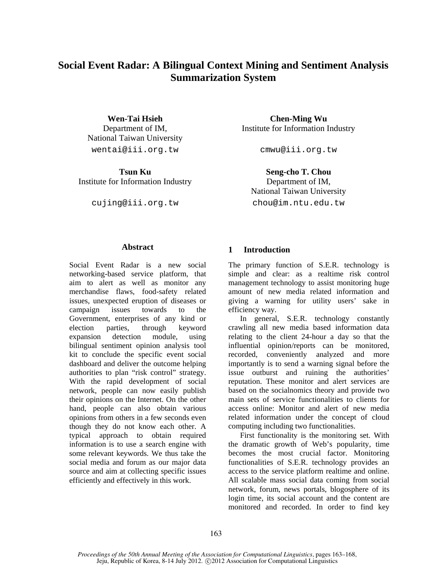# **Social Event Radar: A Bilingual Context Mining and Sentiment Analysis Summarization System**

Department of IM, National Taiwan University wentai@iii.org.tw cmwu@iii.org.tw

Institute for Information Industry Department of IM,

**Wen-Tai Hsieh Chen-Ming Wu** Institute for Information Industry

**Tsun Ku** Seng-cho T. Chou National Taiwan University cujing@iii.org.tw chou@im.ntu.edu.tw

#### **Abstract**

Social Event Radar is a new social networking-based service platform, that aim to alert as well as monitor any merchandise flaws, food-safety related issues, unexpected eruption of diseases or campaign issues towards to the Government, enterprises of any kind or election parties, through keyword expansion detection module, using bilingual sentiment opinion analysis tool kit to conclude the specific event social dashboard and deliver the outcome helping authorities to plan "risk control" strategy. With the rapid development of social network, people can now easily publish their opinions on the Internet. On the other hand, people can also obtain various opinions from others in a few seconds even though they do not know each other. A typical approach to obtain required information is to use a search engine with some relevant keywords. We thus take the social media and forum as our major data source and aim at collecting specific issues efficiently and effectively in this work.

## **1 Introduction**

The primary function of S.E.R. technology is simple and clear: as a realtime risk control management technology to assist monitoring huge amount of new media related information and giving a warning for utility users' sake in efficiency way.

In general, S.E.R. technology constantly crawling all new media based information data relating to the client 24-hour a day so that the influential opinion/reports can be monitored, recorded, conveniently analyzed and more importantly is to send a warning signal before the issue outburst and ruining the authorities' reputation. These monitor and alert services are based on the socialnomics theory and provide two main sets of service functionalities to clients for access online: Monitor and alert of new media related information under the concept of cloud computing including two functionalities.

First functionality is the monitoring set. With the dramatic growth of Web's popularity, time becomes the most crucial factor. Monitoring functionalities of S.E.R. technology provides an access to the service platform realtime and online. All scalable mass social data coming from social network, forum, news portals, blogosphere of its login time, its social account and the content are monitored and recorded. In order to find key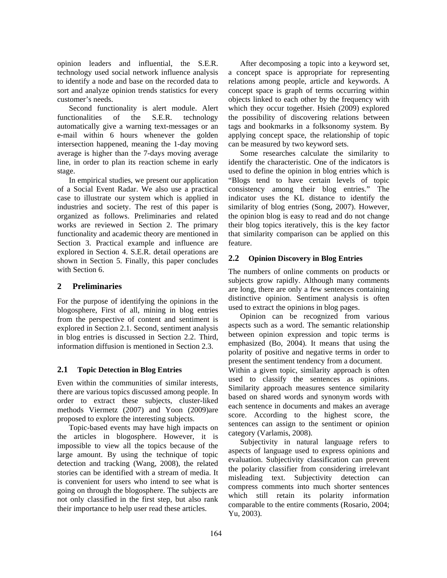opinion leaders and influential, the S.E.R. technology used social network influence analysis to identify a node and base on the recorded data to sort and analyze opinion trends statistics for every customer's needs.

Second functionality is alert module. Alert functionalities of the S.E.R. technology automatically give a warning text-messages or an e-mail within 6 hours whenever the golden intersection happened, meaning the 1-day moving average is higher than the 7-days moving average line, in order to plan its reaction scheme in early stage.

In empirical studies, we present our application of a Social Event Radar. We also use a practical case to illustrate our system which is applied in industries and society. The rest of this paper is organized as follows. Preliminaries and related works are reviewed in Section 2. The primary functionality and academic theory are mentioned in Section 3. Practical example and influence are explored in Section 4. S.E.R. detail operations are shown in Section 5. Finally, this paper concludes with Section 6.

# **2 Preliminaries**

For the purpose of identifying the opinions in the blogosphere, First of all, mining in blog entries from the perspective of content and sentiment is explored in Section 2.1. Second, sentiment analysis in blog entries is discussed in Section 2.2. Third, information diffusion is mentioned in Section 2.3.

# **2.1 Topic Detection in Blog Entries**

Even within the communities of similar interests, there are various topics discussed among people. In order to extract these subjects, cluster-liked methods Viermetz (2007) and Yoon (2009)are proposed to explore the interesting subjects.

Topic-based events may have high impacts on the articles in blogosphere. However, it is impossible to view all the topics because of the large amount. By using the technique of topic detection and tracking (Wang, 2008), the related stories can be identified with a stream of media. It is convenient for users who intend to see what is going on through the blogosphere. The subjects are not only classified in the first step, but also rank their importance to help user read these articles.

After decomposing a topic into a keyword set, a concept space is appropriate for representing relations among people, article and keywords. A concept space is graph of terms occurring within objects linked to each other by the frequency with which they occur together. Hsieh (2009) explored the possibility of discovering relations between tags and bookmarks in a folksonomy system. By applying concept space, the relationship of topic can be measured by two keyword sets.

Some researches calculate the similarity to identify the characteristic. One of the indicators is used to define the opinion in blog entries which is "Blogs tend to have certain levels of topic consistency among their blog entries." The indicator uses the KL distance to identify the similarity of blog entries (Song, 2007). However, the opinion blog is easy to read and do not change their blog topics iteratively, this is the key factor that similarity comparison can be applied on this feature.

# **2.2 Opinion Discovery in Blog Entries**

The numbers of online comments on products or subjects grow rapidly. Although many comments are long, there are only a few sentences containing distinctive opinion. Sentiment analysis is often used to extract the opinions in blog pages.

Opinion can be recognized from various aspects such as a word. The semantic relationship between opinion expression and topic terms is emphasized (Bo, 2004). It means that using the polarity of positive and negative terms in order to present the sentiment tendency from a document.

Within a given topic, similarity approach is often used to classify the sentences as opinions. Similarity approach measures sentence similarity based on shared words and synonym words with each sentence in documents and makes an average score. According to the highest score, the sentences can assign to the sentiment or opinion category (Varlamis, 2008).

Subjectivity in natural language refers to aspects of language used to express opinions and evaluation. Subjectivity classification can prevent the polarity classifier from considering irrelevant misleading text. Subjectivity detection can compress comments into much shorter sentences which still retain its polarity information comparable to the entire comments (Rosario, 2004; Yu, 2003).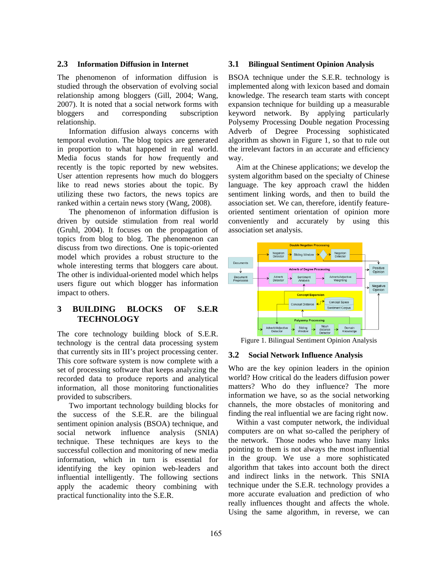## **2.3 Information Diffusion in Internet**

The phenomenon of information diffusion is studied through the observation of evolving social relationship among bloggers (Gill, 2004; Wang, 2007). It is noted that a social network forms with bloggers and corresponding subscription relationship.

Information diffusion always concerns with temporal evolution. The blog topics are generated in proportion to what happened in real world. Media focus stands for how frequently and recently is the topic reported by new websites. User attention represents how much do bloggers like to read news stories about the topic. By utilizing these two factors, the news topics are ranked within a certain news story (Wang, 2008).

The phenomenon of information diffusion is driven by outside stimulation from real world (Gruhl, 2004). It focuses on the propagation of topics from blog to blog. The phenomenon can discuss from two directions. One is topic-oriented model which provides a robust structure to the whole interesting terms that bloggers care about. The other is individual-oriented model which helps users figure out which blogger has information impact to others.

# **3 BUILDING BLOCKS OF S.E.R TECHNOLOGY**

The core technology building block of S.E.R. technology is the central data processing system that currently sits in III's project processing center. This core software system is now complete with a set of processing software that keeps analyzing the recorded data to produce reports and analytical information, all those monitoring functionalities provided to subscribers.

Two important technology building blocks for the success of the S.E.R. are the bilingual sentiment opinion analysis (BSOA) technique, and social network influence analysis (SNIA) technique. These techniques are keys to the successful collection and monitoring of new media information, which in turn is essential for identifying the key opinion web-leaders and influential intelligently. The following sections apply the academic theory combining with practical functionality into the S.E.R.

#### **3.1 Bilingual Sentiment Opinion Analysis**

BSOA technique under the S.E.R. technology is implemented along with lexicon based and domain knowledge. The research team starts with concept expansion technique for building up a measurable keyword network. By applying particularly Polysemy Processing Double negation Processing Adverb of Degree Processing sophisticated algorithm as shown in Figure 1, so that to rule out the irrelevant factors in an accurate and efficiency way.

Aim at the Chinese applications; we develop the system algorithm based on the specialty of Chinese language. The key approach crawl the hidden sentiment linking words, and then to build the association set. We can, therefore, identify featureoriented sentiment orientation of opinion more conveniently and accurately by using this association set analysis.



Figure 1. Bilingual Sentiment Opinion Analysis

#### **3.2 Social Network Influence Analysis**

Who are the key opinion leaders in the opinion world? How critical do the leaders diffusion power matters? Who do they influence? The more information we have, so as the social networking channels, the more obstacles of monitoring and finding the real influential we are facing right now.

Within a vast computer network, the individual computers are on what so-called the periphery of the network. Those nodes who have many links pointing to them is not always the most influential in the group. We use a more sophisticated algorithm that takes into account both the direct and indirect links in the network. This SNIA technique under the S.E.R. technology provides a more accurate evaluation and prediction of who really influences thought and affects the whole. Using the same algorithm, in reverse, we can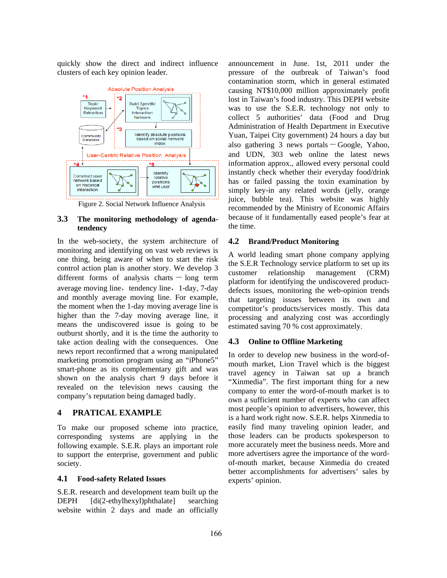quickly show the direct and indirect influence clusters of each key opinion leader.



Figure 2. Social Network Influence Analysis

### **3.3 The monitoring methodology of agendatendency**

In the web-society, the system architecture of monitoring and identifying on vast web reviews is one thing, being aware of when to start the risk control action plan is another story. We develop 3 different forms of analysis charts  $-$  long term average moving line, tendency line, 1-day, 7-day and monthly average moving line. For example, the moment when the 1-day moving average line is higher than the 7-day moving average line, it means the undiscovered issue is going to be outburst shortly, and it is the time the authority to take action dealing with the consequences. One news report reconfirmed that a wrong manipulated marketing promotion program using an "iPhone5" smart-phone as its complementary gift and was shown on the analysis chart 9 days before it revealed on the television news causing the company's reputation being damaged badly.

#### **4 PRATICAL EXAMPLE**

To make our proposed scheme into practice, corresponding systems are applying in the following example. S.E.R. plays an important role to support the enterprise, government and public society.

#### **4.1 Food-safety Related Issues**

S.E.R. research and development team built up the DEPH [di(2-ethylhexyl)phthalate] searching website within 2 days and made an officially announcement in June. 1st, 2011 under the pressure of the outbreak of Taiwan's food contamination storm, which in general estimated causing NT\$10,000 million approximately profit lost in Taiwan's food industry. This DEPH website was to use the S.E.R. technology not only to collect 5 authorities' data (Food and Drug Administration of Health Department in Executive Yuan, Taipei City government) 24 hours a day but also gathering  $3$  news portals  $-$  Google, Yahoo, and UDN, 303 web online the latest news information approx., allowed every personal could instantly check whether their everyday food/drink has or failed passing the toxin examination by simply key-in any related words (jelly, orange juice, bubble tea). This website was highly recommended by the Ministry of Economic Affairs because of it fundamentally eased people's fear at the time.

## **4.2 Brand/Product Monitoring**

A world leading smart phone company applying the S.E.R Technology service platform to set up its customer relationship management (CRM) platform for identifying the undiscovered productdefects issues, monitoring the web-opinion trends that targeting issues between its own and competitor's products/services mostly. This data processing and analyzing cost was accordingly estimated saving 70 % cost approximately.

#### **4.3 Online to Offline Marketing**

In order to develop new business in the word-ofmouth market, Lion Travel which is the biggest travel agency in Taiwan sat up a branch "Xinmedia". The first important thing for a new company to enter the word-of-mouth market is to own a sufficient number of experts who can affect most people's opinion to advertisers, however, this is a hard work right now. S.E.R. helps Xinmedia to easily find many traveling opinion leader, and those leaders can be products spokesperson to more accurately meet the business needs. More and more advertisers agree the importance of the wordof-mouth market, because Xinmedia do created better accomplishments for advertisers' sales by experts' opinion.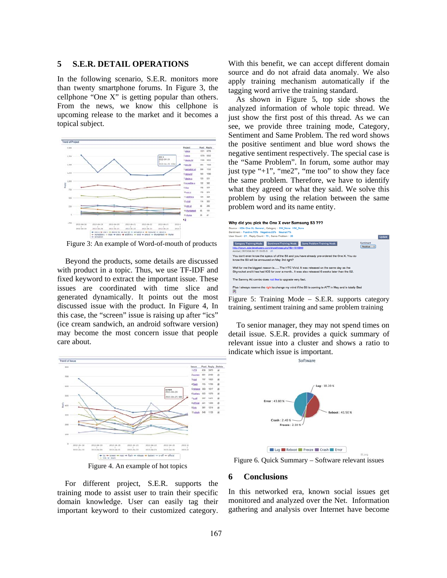## **5 S.E.R. DETAIL OPERATIONS**

In the following scenario, S.E.R. monitors more than twenty smartphone forums. In Figure 3, the cellphone "One X" is getting popular than others. From the news, we know this cellphone is upcoming release to the market and it becomes a topical subject.



Figure 3: An example of Word-of-mouth of products

Beyond the products, some details are discussed with product in a topic. Thus, we use TF-IDF and fixed keyword to extract the important issue. These issues are coordinated with time slice and generated dynamically. It points out the most discussed issue with the product. In Figure 4, In this case, the "screen" issue is raising up after "ics" (ice cream sandwich, an android software version) may become the most concern issue that people care about.



Figure 4. An example of hot topics

For different project, S.E.R. supports the training mode to assist user to train their specific domain knowledge. User can easily tag their important keyword to their customized category. With this benefit, we can accept different domain source and do not afraid data anomaly. We also apply training mechanism automatically if the tagging word arrive the training standard.

As shown in Figure 5, top side shows the analyzed information of whole topic thread. We just show the first post of this thread. As we can see, we provide three training mode, Category, Sentiment and Same Problem. The red word shows the positive sentiment and blue word shows the negative sentiment respectively. The special case is the "Same Problem". In forum, some author may just type " $+1$ ", "me2", "me too" to show they face the same problem. Therefore, we have to identify what they agreed or what they said. We solve this problem by using the relation between the same problem word and its name entity.

| Why did you pick the One X over Samsung S3 ???<br>Source: XDA One XL General: Category: SW None HW None<br>Sentiment: Positive:70% Negative:23% Neutral:7%<br>User Count : 21 : Reply Count : 70 : Same Problem : 26 |                                   | <b>Update</b> |
|----------------------------------------------------------------------------------------------------------------------------------------------------------------------------------------------------------------------|-----------------------------------|---------------|
| Same Problem Training Mode<br><b>Category Training Mode</b><br>Sentiment Training Mode<br>http://forum.xda-developers.com/showthread.php?&t=1616949<br>ricktat   2012-04-24 17:10:00.0 #1                            | Santimant<br><b>Positive</b><br>٠ |               |
| You don't even know the specs of of the S3 and you have already pre-ordered the One X. You do<br>know the S3 will be annouced on May 3rd right?                                                                      |                                   |               |
| Well for me the biggest reason is The HTC Vivid. It was released on the same day as the<br>Skyrocket and it has had ICS for over a month It was also released 6 weeks later than the S2.                             |                                   |               |
| The Sammy Att combo does not like to upgrade very fast.                                                                                                                                                              |                                   |               |
| Plus I always reserve the right to change my mind if the S3 is coming to ATT in May and is totally Bad<br>霳                                                                                                          |                                   |               |
|                                                                                                                                                                                                                      |                                   |               |

Figure 5: Training Mode – S.E.R. supports category training, sentiment training and same problem training

To senior manager, they may not spend times on detail issue. S.E.R. provides a quick summary of relevant issue into a cluster and shows a ratio to indicate which issue is important. Software



Figure 6. Quick Summary – Software relevant issues

#### **6 Conclusions**

In this networked era, known social issues get monitored and analyzed over the Net. Information gathering and analysis over Internet have become